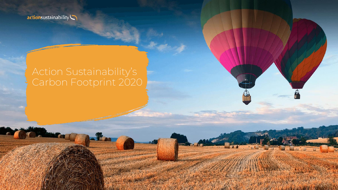

# Action Sustainability's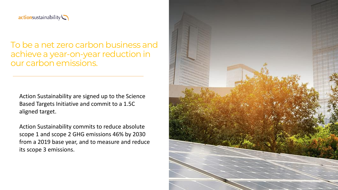

### To be a net zero carbon business and achieve a year-on-year reduction in our carbon emissions.

Action Sustainability are signed up to the Science Based Targets Initiative and commit to a 1.5C aligned target.

Action Sustainability commits to reduce absolute scope 1 and scope 2 GHG emissions 46% by 2030 from a 2019 base year, and to measure and reduce its scope 3 emissions.

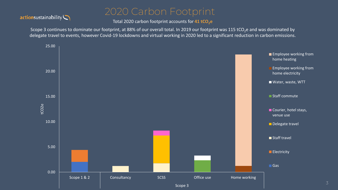#### actionsustainability

## 2020 Carbon Footprint

Total 2020 carbon footprint accounts for 41 tCO<sub>2</sub>e

Scope 3 continues to dominate our footprint, at 88% of our overall total. In 2019 our footprint was 115 tCO<sub>2</sub>e and was dominated by delegate travel to events, however Covid-19 lockdowns and virtual working in 2020 led to a significant reduction in carbon emissions.

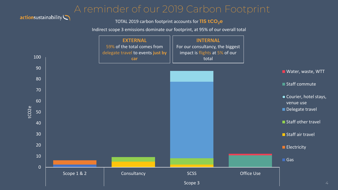## A reminder of our 2019 Carbon Footprint

#### actionsustainability

TOTAL 2019 carbon footprint accounts for **115 tCO2e**

Indirect scope 3 emissions dominate our footprint, at 95% of our overall total

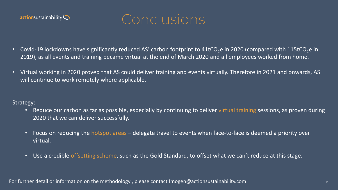



- Covid-19 lockdowns have significantly reduced AS' carbon footprint to  $41$ tCO<sub>2</sub>e in 2020 (compared with 115tCO<sub>2</sub>e in 2019), as all events and training became virtual at the end of March 2020 and all employees worked from home.
- Virtual working in 2020 proved that AS could deliver training and events virtually. Therefore in 2021 and onwards, AS will continue to work remotely where applicable.

Strategy:

- Reduce our carbon as far as possible, especially by continuing to deliver virtual training sessions, as proven during 2020 that we can deliver successfully.
- Focus on reducing the hotspot areas delegate travel to events when face-to-face is deemed a priority over virtual.
- Use a credible offsetting scheme, such as the Gold Standard, to offset what we can't reduce at this stage.